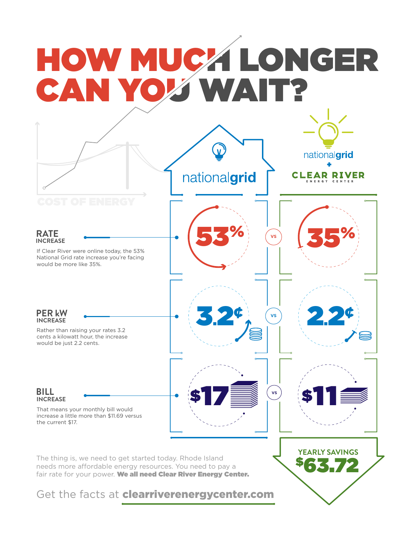# HOW MUCA LONGER CAN YOU WA

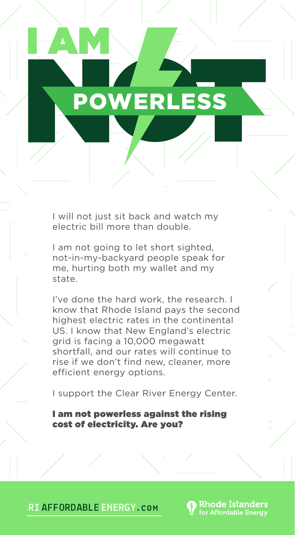### POWERLESS

I AM

I will not just sit back and watch my electric bill more than double.

I am not going to let short sighted, not-in-my-backyard people speak for me, hurting both my wallet and my state.

I've done the hard work, the research. I know that Rhode Island pays the second highest electric rates in the continental US. I know that New England's electric grid is facing a 10,000 megawatt shortfall, and our rates will continue to rise if we don't find new, cleaner, more efficient energy options.

I support the Clear River Energy Center.

**Rhode Islanders** for Affordable Energy

I am not powerless against the rising cost of electricity. Are you?

**RI AFFORDABLE ENERGY.com**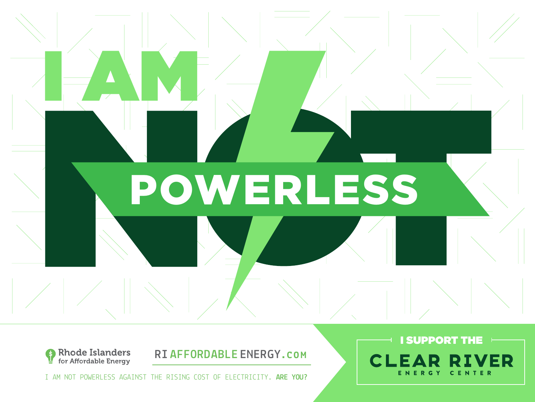



I AM NOT POWERLESS AGAINST THE RISING COST OF ELECTRICITY. **ARE YOU?**

### **I SUPPORT THE**  $\qquad$ **CLEAR RIVER** ENERGY CENTER

**RI AFFORDABLE ENERGY.com**